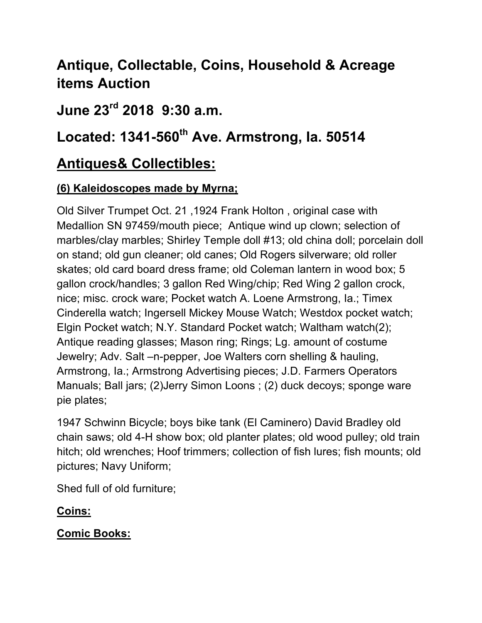# **Antique, Collectable, Coins, Household & Acreage items Auction**

### **June 23rd 2018 9:30 a.m.**

## Located: 1341-560<sup>th</sup> Ave. Armstrong, la. 50514

## **Antiques& Collectibles:**

### **(6) Kaleidoscopes made by Myrna;**

Old Silver Trumpet Oct. 21 ,1924 Frank Holton , original case with Medallion SN 97459/mouth piece; Antique wind up clown; selection of marbles/clay marbles; Shirley Temple doll #13; old china doll; porcelain doll on stand; old gun cleaner; old canes; Old Rogers silverware; old roller skates; old card board dress frame; old Coleman lantern in wood box; 5 gallon crock/handles; 3 gallon Red Wing/chip; Red Wing 2 gallon crock, nice; misc. crock ware; Pocket watch A. Loene Armstrong, Ia.; Timex Cinderella watch; Ingersell Mickey Mouse Watch; Westdox pocket watch; Elgin Pocket watch; N.Y. Standard Pocket watch; Waltham watch(2); Antique reading glasses; Mason ring; Rings; Lg. amount of costume Jewelry; Adv. Salt –n-pepper, Joe Walters corn shelling & hauling, Armstrong, Ia.; Armstrong Advertising pieces; J.D. Farmers Operators Manuals; Ball jars; (2)Jerry Simon Loons ; (2) duck decoys; sponge ware pie plates;

1947 Schwinn Bicycle; boys bike tank (El Caminero) David Bradley old chain saws; old 4-H show box; old planter plates; old wood pulley; old train hitch; old wrenches; Hoof trimmers; collection of fish lures; fish mounts; old pictures; Navy Uniform;

Shed full of old furniture;

#### **Coins:**

#### **Comic Books:**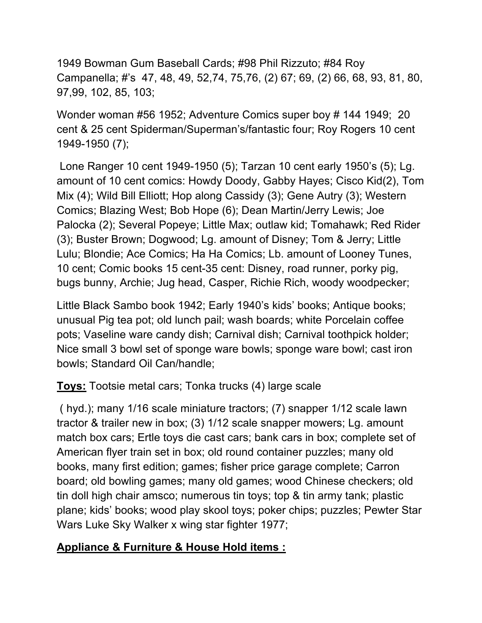1949 Bowman Gum Baseball Cards; #98 Phil Rizzuto; #84 Roy Campanella; #'s 47, 48, 49, 52,74, 75,76, (2) 67; 69, (2) 66, 68, 93, 81, 80, 97,99, 102, 85, 103;

Wonder woman #56 1952; Adventure Comics super boy # 144 1949; 20 cent & 25 cent Spiderman/Superman's/fantastic four; Roy Rogers 10 cent 1949-1950 (7);

 Lone Ranger 10 cent 1949-1950 (5); Tarzan 10 cent early 1950's (5); Lg. amount of 10 cent comics: Howdy Doody, Gabby Hayes; Cisco Kid(2), Tom Mix (4); Wild Bill Elliott; Hop along Cassidy (3); Gene Autry (3); Western Comics; Blazing West; Bob Hope (6); Dean Martin/Jerry Lewis; Joe Palocka (2); Several Popeye; Little Max; outlaw kid; Tomahawk; Red Rider (3); Buster Brown; Dogwood; Lg. amount of Disney; Tom & Jerry; Little Lulu; Blondie; Ace Comics; Ha Ha Comics; Lb. amount of Looney Tunes, 10 cent; Comic books 15 cent-35 cent: Disney, road runner, porky pig, bugs bunny, Archie; Jug head, Casper, Richie Rich, woody woodpecker;

Little Black Sambo book 1942; Early 1940's kids' books; Antique books; unusual Pig tea pot; old lunch pail; wash boards; white Porcelain coffee pots; Vaseline ware candy dish; Carnival dish; Carnival toothpick holder; Nice small 3 bowl set of sponge ware bowls; sponge ware bowl; cast iron bowls; Standard Oil Can/handle;

**Toys:** Tootsie metal cars; Tonka trucks (4) large scale

 ( hyd.); many 1/16 scale miniature tractors; (7) snapper 1/12 scale lawn tractor & trailer new in box; (3) 1/12 scale snapper mowers; Lg. amount match box cars; Ertle toys die cast cars; bank cars in box; complete set of American flyer train set in box; old round container puzzles; many old books, many first edition; games; fisher price garage complete; Carron board; old bowling games; many old games; wood Chinese checkers; old tin doll high chair amsco; numerous tin toys; top & tin army tank; plastic plane; kids' books; wood play skool toys; poker chips; puzzles; Pewter Star Wars Luke Sky Walker x wing star fighter 1977;

#### **Appliance & Furniture & House Hold items :**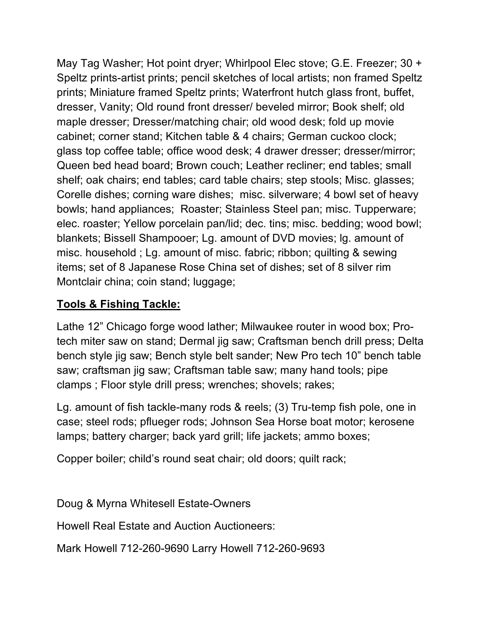May Tag Washer; Hot point dryer; Whirlpool Elec stove; G.E. Freezer; 30 + Speltz prints-artist prints; pencil sketches of local artists; non framed Speltz prints; Miniature framed Speltz prints; Waterfront hutch glass front, buffet, dresser, Vanity; Old round front dresser/ beveled mirror; Book shelf; old maple dresser; Dresser/matching chair; old wood desk; fold up movie cabinet; corner stand; Kitchen table & 4 chairs; German cuckoo clock; glass top coffee table; office wood desk; 4 drawer dresser; dresser/mirror; Queen bed head board; Brown couch; Leather recliner; end tables; small shelf; oak chairs; end tables; card table chairs; step stools; Misc. glasses; Corelle dishes; corning ware dishes; misc. silverware; 4 bowl set of heavy bowls; hand appliances; Roaster; Stainless Steel pan; misc. Tupperware; elec. roaster; Yellow porcelain pan/lid; dec. tins; misc. bedding; wood bowl; blankets; Bissell Shampooer; Lg. amount of DVD movies; lg. amount of misc. household ; Lg. amount of misc. fabric; ribbon; quilting & sewing items; set of 8 Japanese Rose China set of dishes; set of 8 silver rim Montclair china; coin stand; luggage;

### **Tools & Fishing Tackle:**

Lathe 12" Chicago forge wood lather; Milwaukee router in wood box; Protech miter saw on stand; Dermal jig saw; Craftsman bench drill press; Delta bench style jig saw; Bench style belt sander; New Pro tech 10" bench table saw; craftsman jig saw; Craftsman table saw; many hand tools; pipe clamps ; Floor style drill press; wrenches; shovels; rakes;

Lg. amount of fish tackle-many rods & reels; (3) Tru-temp fish pole, one in case; steel rods; pflueger rods; Johnson Sea Horse boat motor; kerosene lamps; battery charger; back yard grill; life jackets; ammo boxes;

Copper boiler; child's round seat chair; old doors; quilt rack;

Doug & Myrna Whitesell Estate-Owners

Howell Real Estate and Auction Auctioneers:

Mark Howell 712-260-9690 Larry Howell 712-260-9693